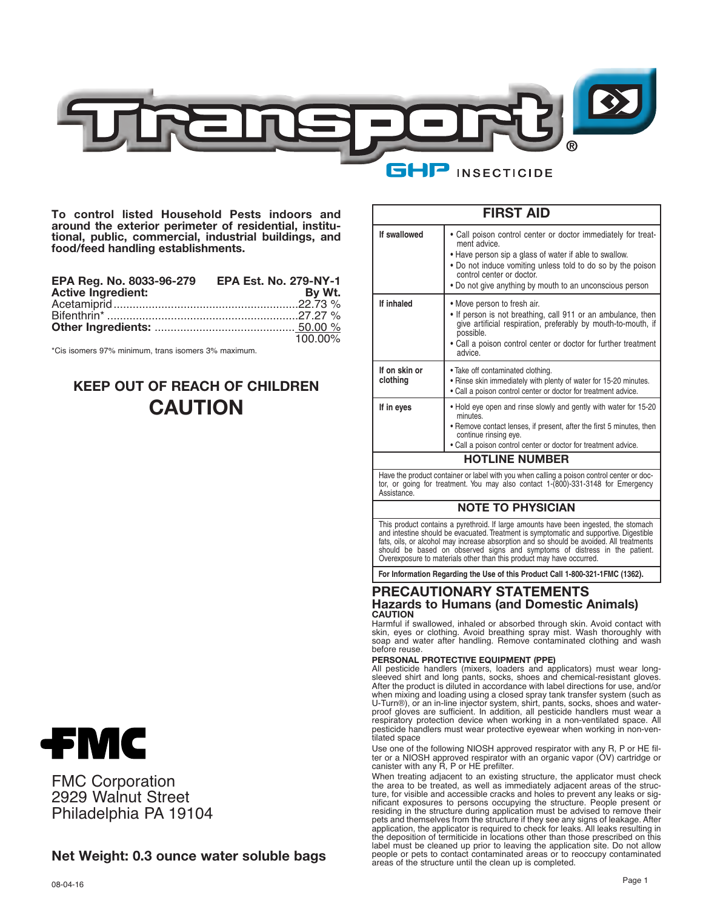

**To control listed Household Pests indoors and around the exterior perimeter of residential, institutional, public, commercial, industrial buildings, and food/feed handling establishments.**

| EPA Reg. No. 8033-96-279 EPA Est. No. 279-NY-1 |            |
|------------------------------------------------|------------|
| <b>Active Ingredient:</b>                      | By Wt.     |
|                                                |            |
|                                                |            |
|                                                |            |
|                                                | $100.00\%$ |

\*Cis isomers 97% minimum, trans isomers 3% maximum.

# **KEEP OUT OF REACH OF CHILDREN CAUTION**



FMC Corporation 2929 Walnut Street Philadelphia PA 19104

## **Net Weight: 0.3 ounce water soluble bags**

|                           | <b>FIRST AID</b>                                                                                                                                                                                                                                                                                                                                                                                                                                                                                                                                                                                                                                                                                                                                                         |
|---------------------------|--------------------------------------------------------------------------------------------------------------------------------------------------------------------------------------------------------------------------------------------------------------------------------------------------------------------------------------------------------------------------------------------------------------------------------------------------------------------------------------------------------------------------------------------------------------------------------------------------------------------------------------------------------------------------------------------------------------------------------------------------------------------------|
| If swallowed              | • Call poison control center or doctor immediately for treat-<br>ment advice.<br>• Have person sip a glass of water if able to swallow.<br>• Do not induce vomiting unless told to do so by the poison<br>control center or doctor.<br>• Do not give anything by mouth to an unconscious person                                                                                                                                                                                                                                                                                                                                                                                                                                                                          |
| If inhaled                | • Move person to fresh air.<br>. If person is not breathing, call 911 or an ambulance, then<br>give artificial respiration, preferably by mouth-to-mouth, if<br>possible.<br>• Call a poison control center or doctor for further treatment<br>advice.                                                                                                                                                                                                                                                                                                                                                                                                                                                                                                                   |
| If on skin or<br>clothing | . Take off contaminated clothing.<br>. Rinse skin immediately with plenty of water for 15-20 minutes.<br>• Call a poison control center or doctor for treatment advice.                                                                                                                                                                                                                                                                                                                                                                                                                                                                                                                                                                                                  |
| If in eyes                | • Hold eye open and rinse slowly and gently with water for 15-20<br>minutes.<br>• Remove contact lenses, if present, after the first 5 minutes, then<br>continue rinsing eye.<br>• Call a poison control center or doctor for treatment advice.                                                                                                                                                                                                                                                                                                                                                                                                                                                                                                                          |
|                           | <b>HOTLINE NUMBER</b>                                                                                                                                                                                                                                                                                                                                                                                                                                                                                                                                                                                                                                                                                                                                                    |
| Assistance.               | Have the product container or label with you when calling a poison control center or doc-<br>tor, or going for treatment. You may also contact 1-(800)-331-3148 for Emergency                                                                                                                                                                                                                                                                                                                                                                                                                                                                                                                                                                                            |
|                           | <b>NOTE TO PHYSICIAN</b>                                                                                                                                                                                                                                                                                                                                                                                                                                                                                                                                                                                                                                                                                                                                                 |
|                           | This product contains a pyrethroid. If large amounts have been ingested, the stomach<br>and intestine should be evacuated. Treatment is symptomatic and supportive. Digestible<br>fats, oils, or alcohol may increase absorption and so should be avoided. All treatments<br>should be based on observed signs and symptoms of distress in the patient.<br>Overexposure to materials other than this product may have occurred.                                                                                                                                                                                                                                                                                                                                          |
|                           | For Information Regarding the Use of this Product Call 1-800-321-1FMC (1362).                                                                                                                                                                                                                                                                                                                                                                                                                                                                                                                                                                                                                                                                                            |
| <b>CAUTION</b>            | <b>PRECAUTIONARY STATEMENTS</b><br><b>Hazards to Humans (and Domestic Animals)</b>                                                                                                                                                                                                                                                                                                                                                                                                                                                                                                                                                                                                                                                                                       |
| before reuse.             | Harmful if swallowed, inhaled or absorbed through skin. Avoid contact with<br>skin, eyes or clothing. Avoid breathing spray mist. Wash thoroughly with<br>soap and water after handling. Remove contaminated clothing and wash                                                                                                                                                                                                                                                                                                                                                                                                                                                                                                                                           |
| tilated space             | PERSONAL PROTECTIVE EQUIPMENT (PPE)<br>All pesticide handlers (mixers, loaders and applicators) must wear long-<br>sleeved shirt and long pants, socks, shoes and chemical-resistant gloves.<br>After the product is diluted in accordance with label directions for use, and/or<br>when mixing and loading using a closed spray tank transfer system (such as<br>U-Turn®), or an in-line injector system, shirt, pants, socks, shoes and water-<br>proof gloves are sufficient. In addition, all pesticide handlers must wear a<br>respiratory protection device when working in a non-ventilated space. All<br>pesticide handlers must wear protective eyewear when working in non-ven-<br>Use one of the following NIOSH approved respirator with any R, P or HE fil- |
|                           | ter or a NIOSH approved respirator with an organic vapor (OV) cartridge or<br>canister with any R, P or HE prefilter.<br>When treating adjacent to an existing structure, the applicator must check                                                                                                                                                                                                                                                                                                                                                                                                                                                                                                                                                                      |

the area to be treated, as well as immediately adjacent areas of the struc-ture, for visible and accessible cracks and holes to prevent any leaks or significant exposures to persons occupying the structure. People present or residing in the structure during application must be advised to remove their pets and themselves from the structure if they see any signs of leakage. After<br>application, the applicator is required to check for leaks. All leaks resulting in<br>the deposition of termiticide in locations other than those areas of the structure until the clean up is completed.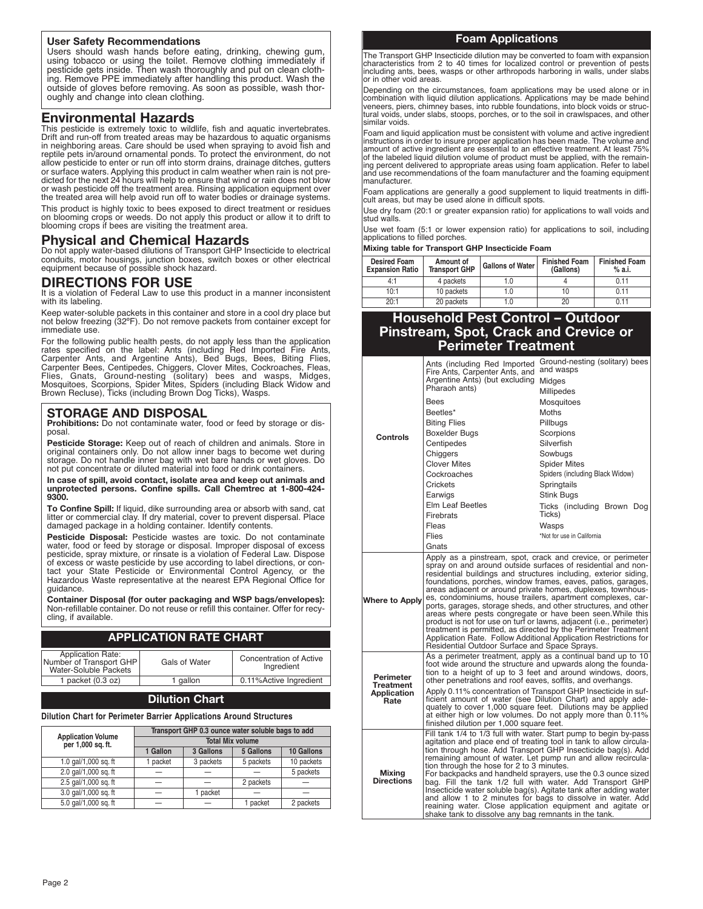#### **User Safety Recommendations**

Users should wash hands before eating, drinking, chewing gum, using tobacco or using the toilet. Remove clothing immediately if pesticide gets inside. Then wash thoroughly and put on clean clothing. Remove PPE immediately after handling this product. Wash the outside of gloves before removing. As soon as possible, wash thoroughly and change into clean clothing.

## **Environmental Hazards**

This pesticide is extremely toxic to wildlife, fish and aquatic invertebrates. Drift and run-off from treated areas may be hazardous to aquatic organisms in neighboring areas. Care should be used when spraying to avoid fish and reptile pets in/around ornamental ponds. To protect the environment, do not allow pesticide to enter or run off into storm drains, drainage ditches, gutters or surface waters. Applying this product in calm weather when rain is not predicted for the next 24 hours will help to ensure that wind or rain does not blow or wash pesticide off the treatment area. Rinsing application equipment over the treated area will help avoid run off to water bodies or drainage systems. This product is highly toxic to bees exposed to direct treatment or residues

on blooming crops or weeds. Do not apply this product or allow it to drift to blooming crops if bees are visiting the treatment area.

## **Physical and Chemical Hazards**

Do not apply water-based dilutions of Transport GHP Insecticide to electrical conduits, motor housings, junction boxes, switch boxes or other electrical equipment because of possible shock hazard.

## **DIRECTIONS FOR USE**

It is a violation of Federal Law to use this product in a manner inconsistent with its labeling.

Keep water-soluble packets in this container and store in a cool dry place but not below freezing (32ºF). Do not remove packets from container except for immediate use.

For the following public health pests, do not apply less than the application<br>rates specified on the label: Ants (including Red Imported Fire Ants,<br>Carpenter Ants, and Argentine Ants), Bed Bugs, Bees, Biting Flies,<br>Carpent Brown Recluse), Ticks (including Brown Dog Ticks), Wasps.

### **STORAGE AND DISPOSAL**

**Prohibitions:** Do not contaminate water, food or feed by storage or disposal.

**Pesticide Storage:** Keep out of reach of children and animals. Store in original containers only. Do not allow inner bags to become wet during storage. Do not handle inner bag with wet bare hands or wet gloves. Do not put concentrate or diluted material into food or drink containers.

**In case of spill, avoid contact, isolate area and keep out animals and unprotected persons. Confine spills. Call Chemtrec at 1-800-424- 9300.**

**To Confine Spill:** If liquid, dike surrounding area or absorb with sand, cat litter or commercial clay. If dry material, cover to prevent dispersal. Place damaged package in a holding container. Identify contents.

**Pesticide Disposal:** Pesticide wastes are toxic. Do not contaminate water, food or feed by storage or disposal. Improper disposal of excess pesticide, spray mixture, or rinsate is a violation of Federal Law. Dispose of excess or waste pesticide by use according to label directions, or contact your State Pesticide or Environmental Control Agency, or the Hazardous Waste representative at the nearest EPA Regional Office for guidance.

**Container Disposal (for outer packaging and WSP bags/envelopes):** Non-refillable container. Do not reuse or refill this container. Offer for recycling, if available.

### **APPLICATION RATE CHART**

| <b>Application Rate:</b><br>Number of Transport GHP<br>Water-Soluble Packets | Gals of Water | Concentration of Active<br>Ingredient |
|------------------------------------------------------------------------------|---------------|---------------------------------------|
| 1 packet $(0.3 oz)$                                                          | 1 gallon      | 0.11% Active Ingredient               |

#### **Dilution Chart**

#### **Dilution Chart for Perimeter Barrier Applications Around Structures**

|                                         | Transport GHP 0.3 ounce water soluble bags to add |           |           |            |
|-----------------------------------------|---------------------------------------------------|-----------|-----------|------------|
| Application Volume<br>per 1,000 sq. ft. | <b>Total Mix volume</b>                           |           |           |            |
|                                         | 1 Gallon                                          | 3 Gallons | 5 Gallons | 10 Gallons |
| 1.0 gal/1,000 sg. ft                    | 1 packet                                          | 3 packets | 5 packets | 10 packets |
| 2.0 gal/1,000 sq. ft                    |                                                   |           |           | 5 packets  |
| 2.5 gal/1,000 sq. ft                    | $\overline{\phantom{0}}$                          |           | 2 packets |            |
| 3.0 gal/1,000 sg. ft                    |                                                   | 1 packet  |           |            |
| 5.0 gal/1,000 sg. ft                    |                                                   |           | 1 packet  | 2 packets  |

#### **Foam Applications**

The Transport GHP Insecticide dilution may be converted to foam with expansion characteristics from 2 to 40 times for localized control or prevention of pests including ants, bees, wasps or other arthropods harboring in walls, under slabs or in other void areas.

Depending on the circumstances, foam applications may be used alone or in<br>combination with liquid dilution applications. Applications may be made behind<br>veneers, piers, chimney bases, into rubble foundations, into block vo tural voids, under slabs, stoops, porches, or to the soil in crawlspaces, and other similar voids.

Foam and liquid application must be consistent with volume and active ingredient instructions in order to insure proper application has been made. The volume and amount of active ingredient are essential to an effective treatment. At least 75% of the labeled liquid dilution volume of product must be applied, with the remaining percent delivered to appropriate areas using foam application. Refer to label and use recommendations of the foam manufacturer and the foaming equipment manufacturer.

Foam applications are generally a good supplement to liquid treatments in difficult areas, but may be used alone in difficult spots.

Use dry foam (20:1 or greater expansion ratio) for applications to wall voids and stud walls.

Use wet foam (5:1 or lower expension ratio) for applications to soil, including applications to filled porches.

#### **Mixing table for Transport GHP Insecticide Foam**

| <b>Desired Foam</b><br><b>Expansion Ratio</b> | Amount of<br><b>Transport GHP</b> | <b>Gallons of Water</b> | <b>Finished Foam</b><br>(Gallons) | <b>Finished Foam</b><br>% a.i. |
|-----------------------------------------------|-----------------------------------|-------------------------|-----------------------------------|--------------------------------|
| 4:1                                           | 4 packets                         |                         |                                   | 0.11                           |
| 10:1                                          | 10 packets                        | I.O                     |                                   | 0.11                           |
| 20:1                                          | 20 packets                        | I.O                     | 20                                | 011                            |

## **Household Pest Control – Outdoor Pinstream, Spot, Crack and Crevice or Perimeter Treatment**

|                                    | Ants (including Red Imported<br>Fire Ants, Carpenter Ants, and                                                                                                                                                                                                                                           | Ground-nesting (solitary) bees<br>and wasps                                                                                                                                                                                                                                                                                                                                                                                                                                                                                                                                                                                                                                 |
|------------------------------------|----------------------------------------------------------------------------------------------------------------------------------------------------------------------------------------------------------------------------------------------------------------------------------------------------------|-----------------------------------------------------------------------------------------------------------------------------------------------------------------------------------------------------------------------------------------------------------------------------------------------------------------------------------------------------------------------------------------------------------------------------------------------------------------------------------------------------------------------------------------------------------------------------------------------------------------------------------------------------------------------------|
|                                    | Argentine Ants) (but excluding<br>Pharaoh ants)                                                                                                                                                                                                                                                          | Midges<br>Millipedes                                                                                                                                                                                                                                                                                                                                                                                                                                                                                                                                                                                                                                                        |
|                                    | <b>Bees</b>                                                                                                                                                                                                                                                                                              | Mosquitoes                                                                                                                                                                                                                                                                                                                                                                                                                                                                                                                                                                                                                                                                  |
|                                    | Beetles*                                                                                                                                                                                                                                                                                                 | Moths                                                                                                                                                                                                                                                                                                                                                                                                                                                                                                                                                                                                                                                                       |
|                                    | <b>Biting Flies</b>                                                                                                                                                                                                                                                                                      | Pillbugs                                                                                                                                                                                                                                                                                                                                                                                                                                                                                                                                                                                                                                                                    |
| Controls                           | Boxelder Bugs                                                                                                                                                                                                                                                                                            | Scorpions                                                                                                                                                                                                                                                                                                                                                                                                                                                                                                                                                                                                                                                                   |
|                                    | Centipedes                                                                                                                                                                                                                                                                                               | Silverfish                                                                                                                                                                                                                                                                                                                                                                                                                                                                                                                                                                                                                                                                  |
|                                    | Chiggers                                                                                                                                                                                                                                                                                                 | Sowbugs                                                                                                                                                                                                                                                                                                                                                                                                                                                                                                                                                                                                                                                                     |
|                                    | <b>Clover Mites</b>                                                                                                                                                                                                                                                                                      | <b>Spider Mites</b>                                                                                                                                                                                                                                                                                                                                                                                                                                                                                                                                                                                                                                                         |
|                                    | Cockroaches                                                                                                                                                                                                                                                                                              | Spiders (including Black Widow)                                                                                                                                                                                                                                                                                                                                                                                                                                                                                                                                                                                                                                             |
|                                    | Crickets                                                                                                                                                                                                                                                                                                 | Springtails                                                                                                                                                                                                                                                                                                                                                                                                                                                                                                                                                                                                                                                                 |
|                                    | Earwigs                                                                                                                                                                                                                                                                                                  | Stink Bugs                                                                                                                                                                                                                                                                                                                                                                                                                                                                                                                                                                                                                                                                  |
|                                    | Elm Leaf Beetles                                                                                                                                                                                                                                                                                         | Ticks (including Brown Dog<br>Ticks)                                                                                                                                                                                                                                                                                                                                                                                                                                                                                                                                                                                                                                        |
|                                    | <b>Firebrats</b><br>Fleas                                                                                                                                                                                                                                                                                | Wasps                                                                                                                                                                                                                                                                                                                                                                                                                                                                                                                                                                                                                                                                       |
|                                    | Flies                                                                                                                                                                                                                                                                                                    | *Not for use in California                                                                                                                                                                                                                                                                                                                                                                                                                                                                                                                                                                                                                                                  |
|                                    | Gnats                                                                                                                                                                                                                                                                                                    |                                                                                                                                                                                                                                                                                                                                                                                                                                                                                                                                                                                                                                                                             |
|                                    |                                                                                                                                                                                                                                                                                                          | Apply as a pinstream, spot, crack and crevice, or perimeter                                                                                                                                                                                                                                                                                                                                                                                                                                                                                                                                                                                                                 |
| <b>Where to Apply</b>              | Residential Outdoor Surface and Space Sprays.                                                                                                                                                                                                                                                            | spray on and around outside surfaces of residential and non-<br>residential buildings and structures including, exterior siding,<br>foundations, porches, window frames, eaves, patios, garages,<br>areas adjacent or around private homes, duplexes, townhous-<br>es, condominiums, house trailers, apartment complexes, car-<br>ports, garages, storage sheds, and other structures, and other<br>areas where pests congregate or have been seen. While this<br>product is not for use on turf or lawns, adjacent (i.e., perimeter)<br>treatment is permitted, as directed by the Perimeter Treatment<br>Application Rate. Follow Additional Application Restrictions for |
| Perimeter<br>Treatment             | other penetrations and roof eaves, soffits, and overhangs.                                                                                                                                                                                                                                               | As a perimeter treatment, apply as a continual band up to 10<br>foot wide around the structure and upwards along the founda-<br>tion to a height of up to 3 feet and around windows, doors,                                                                                                                                                                                                                                                                                                                                                                                                                                                                                 |
| Application<br>Rate                | Apply 0.11% concentration of Transport GHP Insecticide in suf-<br>ficient amount of water (see Dilution Chart) and apply ade-<br>quately to cover 1,000 square feet. Dilutions may be applied<br>at either high or low volumes. Do not apply more than 0.11%<br>finished dilution per 1,000 square feet. |                                                                                                                                                                                                                                                                                                                                                                                                                                                                                                                                                                                                                                                                             |
| <b>Mixing</b><br><b>Directions</b> | tion through the hose for 2 to 3 minutes.<br>shake tank to dissolve any bag remnants in the tank.                                                                                                                                                                                                        | Fill tank 1/4 to 1/3 full with water. Start pump to begin by-pass<br>agitation and place end of treating tool in tank to allow circula-<br>tion through hose. Add Transport GHP Insecticide bag(s). Add<br>remaining amount of water. Let pump run and allow recircula-<br>For backpacks and handheld sprayers, use the 0.3 ounce sized<br>bag. Fill the tank 1/2 full with water. Add Transport GHP<br>Insecticide water soluble bag(s). Agitate tank after adding water<br>and allow 1 to 2 minutes for bags to dissolve in water. Add<br>reaining water. Close application equipment and agitate or                                                                      |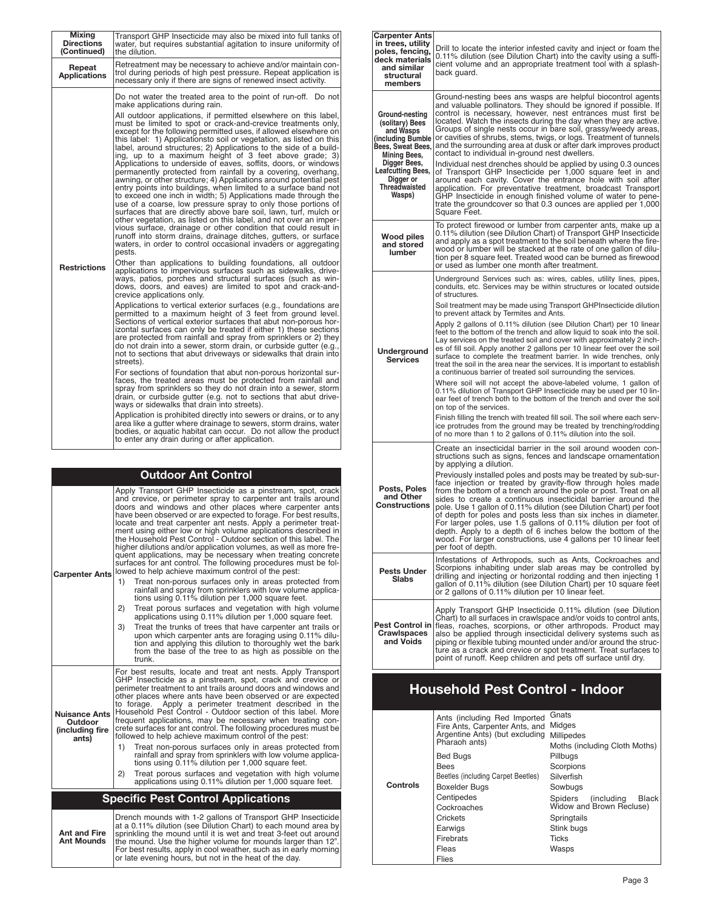| Mixing<br><b>Directions</b><br>(Continued) | Transport GHP Insecticide may also be mixed into full tanks of<br>water, but requires substantial agitation to insure uniformity of<br>the dilution.                                                                                                                                                                                                                                                                                                                                                                                                                                                                                                                                                                                                                                                                                                                                                                                                                                                                                                                                                                                                                                                                                                                                                                                                                                                                                                                                                                                                                                                                                                                                                                                                                                                                                                                                                                                                                                                                                                                                                                                                                                                                                                                                                                                                                                                                                                                                                                                                                                                                                                                          |
|--------------------------------------------|-------------------------------------------------------------------------------------------------------------------------------------------------------------------------------------------------------------------------------------------------------------------------------------------------------------------------------------------------------------------------------------------------------------------------------------------------------------------------------------------------------------------------------------------------------------------------------------------------------------------------------------------------------------------------------------------------------------------------------------------------------------------------------------------------------------------------------------------------------------------------------------------------------------------------------------------------------------------------------------------------------------------------------------------------------------------------------------------------------------------------------------------------------------------------------------------------------------------------------------------------------------------------------------------------------------------------------------------------------------------------------------------------------------------------------------------------------------------------------------------------------------------------------------------------------------------------------------------------------------------------------------------------------------------------------------------------------------------------------------------------------------------------------------------------------------------------------------------------------------------------------------------------------------------------------------------------------------------------------------------------------------------------------------------------------------------------------------------------------------------------------------------------------------------------------------------------------------------------------------------------------------------------------------------------------------------------------------------------------------------------------------------------------------------------------------------------------------------------------------------------------------------------------------------------------------------------------------------------------------------------------------------------------------------------------|
| Repeat<br><b>Applications</b>              | Retreatment may be necessary to achieve and/or maintain con-<br>trol during periods of high pest pressure. Repeat application is<br>necessary only if there are signs of renewed insect activity.                                                                                                                                                                                                                                                                                                                                                                                                                                                                                                                                                                                                                                                                                                                                                                                                                                                                                                                                                                                                                                                                                                                                                                                                                                                                                                                                                                                                                                                                                                                                                                                                                                                                                                                                                                                                                                                                                                                                                                                                                                                                                                                                                                                                                                                                                                                                                                                                                                                                             |
| <b>Restrictions</b>                        | Do not water the treated area to the point of run-off. Do not<br>make applications during rain.<br>All outdoor applications, if permitted elsewhere on this label,<br>must be limited to spot or crack-and-crevice treatments only,<br>except for the following permitted uses, if allowed elsewhere on<br>this label: 1) Applicationsto soil or vegetation, as listed on this<br>label, around structures; 2) Applications to the side of a build-<br>ing, up to a maximum height of 3 feet above grade; 3)<br>Applications to underside of eaves, soffits, doors, or windows<br>permanently protected from rainfall by a covering, overhang,<br>awning, or other structure; 4) Applications around potential pest<br>entry points into buildings, when limited to a surface band not<br>to exceed one inch in width; 5) Applications made through the<br>use of a coarse, low pressure spray to only those portions of<br>surfaces that are directly above bare soil, lawn, turf, mulch or<br>other vegetation, as listed on this label, and not over an imper-<br>vious surface, drainage or other condition that could result in<br>runoff into storm drains, drainage ditches, gutters, or surface<br>waters, in order to control occasional invaders or aggregating<br>pests.<br>Other than applications to building foundations, all outdoor<br>applications to impervious surfaces such as sidewalks, drive-<br>ways, patios, porches and structural surfaces (such as win-<br>dows, doors, and eaves) are limited to spot and crack-and-<br>crevice applications only.<br>Applications to vertical exterior surfaces (e.g., foundations are<br>permitted to a maximum height of 3 feet from ground level.<br>Sections of vertical exterior surfaces that abut non-porous hor-<br>izontal surfaces can only be treated if either 1) these sections<br>are protected from rainfall and spray from sprinklers or 2) they<br>do not drain into a sewer, storm drain, or curbside qutter (e.g.,<br>not to sections that abut driveways or sidewalks that drain into<br>streets).<br>For sections of foundation that abut non-porous horizontal sur-<br>faces, the treated areas must be protected from rainfall and<br>spray from sprinklers so they do not drain into a sewer, storm<br>drain, or curbside gutter (e.g. not to sections that abut drive-<br>ways or sidewalks that drain into streets).<br>Application is prohibited directly into sewers or drains, or to any<br>area like a gutter where drainage to sewers, storm drains, water <br>bodies, or aquatic habitat can occur. Do not allow the product<br>to enter any drain during or after application. |

### For best results, locate and treat ant nests. Apply Transport GHP Insecticide as a pinstream, spot, crack and crevice or perimeter treatment to ant trails around doors and windows and other places where ants have been observed or are expected to forage. Apply a perimeter treatment described in the Household Pest Control - Outdoor section of this label. More frequent applications, may be necessary when treating con-crete surfaces for ant control. The following procedures must be followed to help achieve maximum control of the pest: 1) Treat non-porous surfaces only in areas protected from rainfall and spray from sprinklers with low volume applications using 0.11% dilution per 1,000 square feet. 2) Treat porous surfaces and vegetation with high volume applications using 0.11% dilution per 1,000 square feet. Apply Transport GHP Insecticide as a pinstream, spot, crack and crevice, or perimeter spray to carpenter ant trails around doors and windows and other places where carpenter ants have been observed or are expected to forage. For best results locate and treat carpenter ant nests. Apply a perimeter treat-ment using either low or high volume applications described in the Household Pest Control - Outdoor section of this label. The higher dilutions and/or application volumes, as well as more fre-quent applications, may be necessary when treating concrete surfaces for ant control. The following procedures must be followed to help achieve maximum control of the pest: 1) Treat non-porous surfaces only in areas protected from rainfall and spray from sprinklers with low volume applica-tions using 0.11% dilution per 1,000 square feet. 2) Treat porous surfaces and vegetation with high volume applications using 0.11% dilution per 1,000 square feet. 3) Treat the trunks of trees that have carpenter ant trails or upon which carpenter ants are foraging using 0.11% dilu-tion and applying this dilution to thoroughly wet the bark from the base of the tree to as high as possible on the trunk. **Outdoor Ant Control Carpenter Ants Nuisance Ants Outdoor (including fire ants) Specific Pest Control Applications**

Drench mounds with 1-2 gallons of Transport GHP Insecticide at a 0.11% dilution (see Dilution Chart) to each mound area by sprinkling the mound until it is wet and treat 3-feet out around the mound. Use the higher volume for mounds larger than 12". For best results, apply in cool weather, such as in early morning or late evening hours, but not in the heat of the day. **Ant and Fire Ant Mounds**

| <b>Carpenter Ants</b><br>in trees, utility<br>poles, fencing,<br>deck materials<br>and similar<br>structural<br>members                               | Drill to locate the interior infested cavity and inject or foam the<br>0.11% dilution (see Dilution Chart) into the cavity using a suffi-<br>cient volume and an appropriate treatment tool with a splash-<br>back quard.                                                                                                                                                                                                                                                                                                                                                                                                                                     |
|-------------------------------------------------------------------------------------------------------------------------------------------------------|---------------------------------------------------------------------------------------------------------------------------------------------------------------------------------------------------------------------------------------------------------------------------------------------------------------------------------------------------------------------------------------------------------------------------------------------------------------------------------------------------------------------------------------------------------------------------------------------------------------------------------------------------------------|
| Ground-nesting<br>(solitary) Bees<br>and Wasps<br>(including Bumble)<br>Bees, Sweat Bees,<br>Mining Bees,<br>Digger Bees,<br><b>Leafcutting Bees,</b> | Ground-nesting bees ans wasps are helpful biocontrol agents<br>and valuable pollinators. They should be ignored if possible. If<br>control is necessary, however, nest entrances must first be<br>located. Watch the insects during the day when they are active.<br>Groups of single nests occur in bare soil, grassy/weedy areas,<br>or cavities of shrubs, stems, twigs, or logs. Treatment of tunnels<br>and the surrounding area at dusk or after dark improves product<br>contact to individual in-ground nest dwellers.<br>Individual nest drenches should be applied by using 0.3 ounces<br>of Transport GHP Insecticide per 1,000 square feet in and |
| Digger or<br>Threadwaisted<br>Wasps)                                                                                                                  | around each cavity. Cover the entrance hole with soil after<br>application. For preventative treatment, broadcast Transport<br>GHP Insecticide in enough finished volume of water to pene-<br>trate the groundcover so that 0.3 ounces are applied per 1,000<br>Square Feet.                                                                                                                                                                                                                                                                                                                                                                                  |
| Wood piles<br>and stored<br><b>lumber</b>                                                                                                             | To protect firewood or lumber from carpenter ants, make up a<br>0.11% dilution (see Dilution Chart) of Transport GHP Insecticide<br>and apply as a spot treatment to the soil beneath where the fire-<br>wood or lumber will be stacked at the rate of one gallon of dilu-<br>tion per 8 square feet. Treated wood can be burned as firewood<br>or used as lumber one month after treatment.                                                                                                                                                                                                                                                                  |
|                                                                                                                                                       | Underground Services such as: wires, cables, utility lines, pipes,<br>conduits, etc. Services may be within structures or located outside<br>of structures.                                                                                                                                                                                                                                                                                                                                                                                                                                                                                                   |
| Underground<br><b>Services</b>                                                                                                                        | Soil treatment may be made using Transport GHP Insecticide dilution<br>to prevent attack by Termites and Ants.<br>Apply 2 gallons of 0.11% dilution (see Dilution Chart) per 10 linear<br>feet to the bottom of the trench and allow liquid to soak into the soil.<br>Lay services on the treated soil and cover with approximately 2 inch-<br>es of fill soil. Apply another 2 gallons per 10 linear feet over the soil<br>surface to complete the treatment barrier. In wide trenches, only<br>treat the soil in the area near the services. It is important to establish<br>a continuous barrier of treated soil surrounding the services.                 |
|                                                                                                                                                       | Where soil will not accept the above-labeled volume, 1 gallon of<br>0.11% dilution of Transport GHP Insecticide may be used per 10 lin-<br>ear feet of trench both to the bottom of the trench and over the soil<br>on top of the services.                                                                                                                                                                                                                                                                                                                                                                                                                   |
|                                                                                                                                                       | Finish filling the trench with treated fill soil. The soil where each serv-<br>ice protrudes from the ground may be treated by trenching/rodding<br>of no more than 1 to 2 gallons of 0.11% dilution into the soil.                                                                                                                                                                                                                                                                                                                                                                                                                                           |
|                                                                                                                                                       | Create an insecticidal barrier in the soil around wooden con-<br>structions such as signs, fences and landscape ornamentation<br>by applying a dilution.                                                                                                                                                                                                                                                                                                                                                                                                                                                                                                      |
| Posts, Poles<br>and Other<br><b>Constructions</b>                                                                                                     | Previously installed poles and posts may be treated by sub-sur-<br>face injection or treated by gravity-flow through holes made<br>from the bottom of a trench around the pole or post. Treat on all<br>sides to create a continuous insecticidal barrier around the<br>pole. Use 1 gallon of 0.11% dilution (see Dilution Chart) per foot<br>of depth for poles and posts less than six inches in diameter.<br>For larger poles, use 1.5 gallons of 0.11% dilution per foot of<br>depth. Apply to a depth of 6 inches below the bottom of the<br>wood. For larger constructions, use 4 gallons per 10 linear feet<br>per foot of depth.                      |
| <b>Pests Under</b><br><b>Slabs</b>                                                                                                                    | Infestations of Arthropods, such as Ants, Cockroaches and<br>Scorpions inhabiting under slab areas may be controlled by<br>drilling and injecting or horizontal rodding and then injecting 1 gallon of 0.11% dilution (see Dilution Chart) per 10 square feet<br>or 2 gallons of 0.11% dilution per 10 linear feet.                                                                                                                                                                                                                                                                                                                                           |
| Pest Control in<br><b>Crawlspaces</b><br>and Voids                                                                                                    | Apply Transport GHP Insecticide 0.11% dilution (see Dilution<br>Chart) to all surfaces in crawlspace and/or voids to control ants,<br>fleas, roaches, scorpions, or other arthropods. Product may also be applied through insecticidal delivery systems such as<br>piping or flexible tubing mounted under and/or around the struc-<br>ture as a crack and crevice or spot treatment. Treat surfaces to<br>point of runoff. Keep children and pets off surface until dry.                                                                                                                                                                                     |

## **Household Pest Control - Indoor**

|          | Ants (including Red Imported<br>Fire Ants, Carpenter Ants, and<br>Argentine Ants) (but excluding<br>Pharaoh ants)<br><b>Bed Bugs</b><br><b>Bees</b><br>Beetles (including Carpet Beetles) | Gnats<br>Midges<br><b>Millipedes</b><br>Moths (including Cloth Moths)<br>Pillbugs<br>Scorpions<br>Silverfish |
|----------|-------------------------------------------------------------------------------------------------------------------------------------------------------------------------------------------|--------------------------------------------------------------------------------------------------------------|
| Controls | <b>Boxelder Bugs</b>                                                                                                                                                                      | Sowbugs                                                                                                      |
|          | Centipedes<br>Cockroaches                                                                                                                                                                 | (including<br><b>Black</b><br>Spiders<br>Widow and Brown Recluse)                                            |
|          | Crickets                                                                                                                                                                                  | Springtails                                                                                                  |
|          | Earwigs                                                                                                                                                                                   | Stink bugs                                                                                                   |
|          | Firebrats                                                                                                                                                                                 | <b>Ticks</b>                                                                                                 |
|          | Fleas                                                                                                                                                                                     | Wasps                                                                                                        |
|          | Flies                                                                                                                                                                                     |                                                                                                              |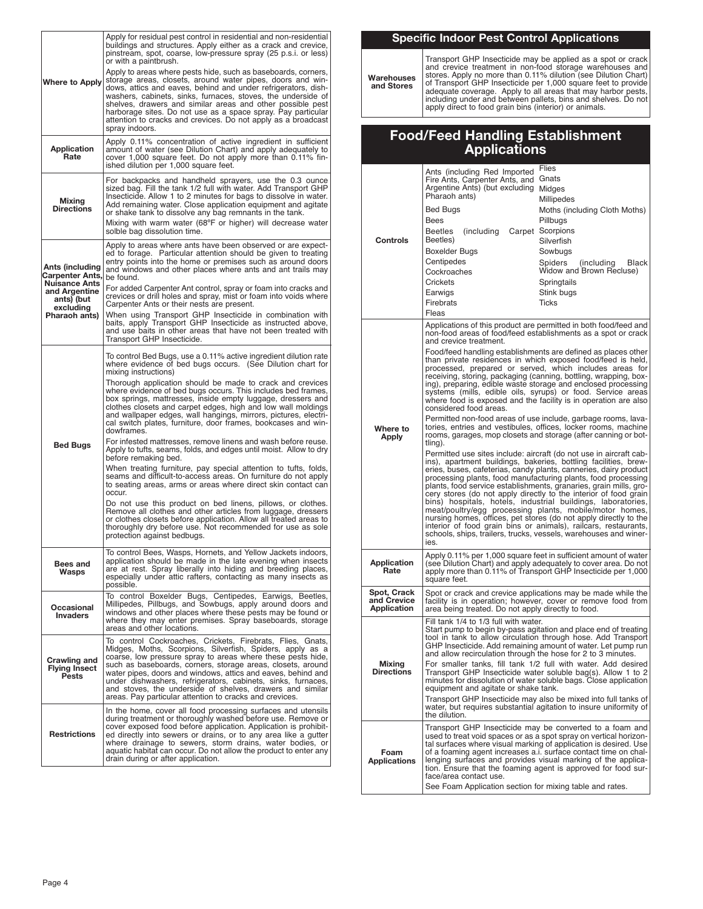|                                                            | Apply for residual pest control in residential and non-residential<br>buildings and structures. Apply either as a crack and crevice,                                                                                                                                                                                                                                                                                                                                                                          |
|------------------------------------------------------------|---------------------------------------------------------------------------------------------------------------------------------------------------------------------------------------------------------------------------------------------------------------------------------------------------------------------------------------------------------------------------------------------------------------------------------------------------------------------------------------------------------------|
|                                                            | pinstream, spot, coarse, low-pressure spray (25 p.s.i. or less)<br>or with a paintbrush.<br>Apply to areas where pests hide, such as baseboards, corners,<br>storage areas, closets, around water pipes, doors and win-                                                                                                                                                                                                                                                                                       |
| <b>Where to Apply</b>                                      | dows, attics and eaves, behind and under refrigerators, dish-<br>washers, cabinets, sinks, furnaces, stoves, the underside of<br>shelves, drawers and similar areas and other possible pest<br>harborage sites. Do not use as a space spray. Pay particular<br>attention to cracks and crevices. Do not apply as a broadcast<br>spray indoors.                                                                                                                                                                |
| <b>Application</b><br>Rate                                 | Apply 0.11% concentration of active ingredient in sufficient<br>amount of water (see Dilution Chart) and apply adequately to<br>cover 1,000 square feet. Do not apply more than 0.11% fin-<br>ished dilution per 1,000 square feet.                                                                                                                                                                                                                                                                           |
| Mixing<br><b>Directions</b>                                | For backpacks and handheld sprayers, use the 0.3 ounce<br>sized bag. Fill the tank 1/2 full with water. Add Transport GHP<br>Insecticide. Allow 1 to 2 minutes for bags to dissolve in water.<br>Add remaining water. Close application equipment and agitate<br>or shake tank to dissolve any bag remnants in the tank.<br>Mixing with warm water (68°F or higher) will decrease water<br>solble bag dissolution time.                                                                                       |
|                                                            | Apply to areas where ants have been observed or are expect-                                                                                                                                                                                                                                                                                                                                                                                                                                                   |
| Ants (including<br>Carpenter Ants,<br><b>Nuisance Ants</b> | ed to forage. Particular attention should be given to treating<br>entry points into the home or premises such as around doors<br>and windows and other places where ants and ant trails may<br>be found.                                                                                                                                                                                                                                                                                                      |
| and Argentine<br>ants) (but                                | For added Carpenter Ant control, spray or foam into cracks and<br>crevices or drill holes and spray, mist or foam into voids where<br>Carpenter Ants or their nests are present.                                                                                                                                                                                                                                                                                                                              |
| excluding<br>Pharaoh ants)                                 | When using Transport GHP Insecticide in combination with<br>baits, apply Transport GHP Insecticide as instructed above,<br>and use baits in other areas that have not been treated with<br>Transport GHP Insecticide.                                                                                                                                                                                                                                                                                         |
|                                                            | To control Bed Bugs, use a 0.11% active ingredient dilution rate<br>where evidence of bed bugs occurs. (See Dilution chart for<br>mixing instructions)                                                                                                                                                                                                                                                                                                                                                        |
|                                                            | Thorough application should be made to crack and crevices<br>where evidence of bed bugs occurs. This includes bed frames,<br>box springs, mattresses, inside empty luggage, dressers and<br>clothes closets and carpet edges, high and low wall moldings<br>and wallpaper edges, wall hangings, mirrors, pictures, electri-<br>cal switch plates, furniture, door frames, bookcases and win-<br>dowframes.                                                                                                    |
| <b>Bed Bugs</b>                                            | For infested mattresses, remove linens and wash before reuse.<br>Apply to tufts, seams, folds, and edges until moist. Allow to dry<br>before remaking bed.                                                                                                                                                                                                                                                                                                                                                    |
|                                                            | When treating furniture, pay special attention to tufts, folds,<br>seams and difficult-to-access areas. On furniture do not apply<br>to seating areas, arms or areas where direct skin contact can<br>occur.                                                                                                                                                                                                                                                                                                  |
|                                                            | Do not use this product on bed linens, pillows, or clothes.<br>Remove all clothes and other articles from luggage, dressers<br>or clothes closets before application. Allow all treated areas to<br>thoroughly dry before use. Not recommended for use as sole<br>protection against bedbugs.                                                                                                                                                                                                                 |
| Bees and<br>Wasps                                          | To control Bees, Wasps, Hornets, and Yellow Jackets indoors,<br>application should be made in the late evening when insects<br>are at rest. Spray liberally into hiding and breeding places,<br>especially under attic rafters, contacting as many insects as<br>possible.                                                                                                                                                                                                                                    |
| Occasional<br><b>Invaders</b>                              | To control Boxelder Bugs, Centipedes, Earwigs, Beetles,<br>Millipedes, Pillbugs, and Sowbugs, apply around doors and<br>windows and other places where these pests may be found or<br>where they may enter premises. Spray baseboards, storage<br>areas and other locations.                                                                                                                                                                                                                                  |
| Crawling and<br><b>Flying Insect</b><br>Pests              | To control Cockroaches, Crickets, Firebrats, Flies, Gnats,<br>Midges, Moths, Scorpions, Silverfish, Spiders, apply as a<br>coarse, low pressure spray to areas where these pests hide,<br>such as baseboards, corners, storage areas, closets, around<br>water pipes, doors and windows, attics and eaves, behind and<br>under dishwashers, refrigerators, cabinets, sinks, furnaces,<br>and stoves, the underside of shelves, drawers and similar<br>areas. Pay particular attention to cracks and crevices. |
| <b>Restrictions</b>                                        | In the home, cover all food processing surfaces and utensils<br>during treatment or thoroughly washed before use. Remove or<br>cover exposed food before application. Application is prohibit-<br>ed directly into sewers or drains, or to any area like a gutter<br>where drainage to sewers, storm drains, water bodies, or<br>aquatic habitat can occur. Do not allow the product to enter any<br>drain during or after application.                                                                       |

## **Specific Indoor Pest Control Applications**

**Warehouses and Stores**

Transport GHP Insecticide may be applied as a spot or crack<br>and crevice treatment in non-food storage warehouses and<br>stores. Apply no more than 0.11% dilution (see Dilution Chart)<br>of Transport GHP Insecticide per 1,000 squ

## **Food/Feed Handling Establishment Applications**

|                                           | Ants (including Red Imported<br>Fire Ants, Carpenter Ants, and<br>Argentine Ants) (but excluding Midges<br>Pharaoh ants)<br>Bed Bugs<br>Bees                                                                                                                                                                 | Flies<br>Gnats<br>Millipedes<br>Moths (including Cloth Moths)<br>Pillbugs                                                                                                                                                                                                                                                                                                                                                                                                                                                                                                                                                                                                           |
|-------------------------------------------|--------------------------------------------------------------------------------------------------------------------------------------------------------------------------------------------------------------------------------------------------------------------------------------------------------------|-------------------------------------------------------------------------------------------------------------------------------------------------------------------------------------------------------------------------------------------------------------------------------------------------------------------------------------------------------------------------------------------------------------------------------------------------------------------------------------------------------------------------------------------------------------------------------------------------------------------------------------------------------------------------------------|
| Controls                                  | (including Carpet Scorpions<br>Beetles<br>Beetles)<br>Boxelder Bugs<br>Centipedes<br>Cockroaches<br>Crickets<br>Earwigs<br>Firebrats<br>Fleas                                                                                                                                                                | Silverfish<br>Sowbugs<br>Spiders<br>(including)<br>Black<br>Widow and Brown Recluse)<br>Springtails<br>Stink bugs<br>Ticks                                                                                                                                                                                                                                                                                                                                                                                                                                                                                                                                                          |
|                                           | and crevice treatment.                                                                                                                                                                                                                                                                                       | Applications of this product are permitted in both food/feed and<br>non-food areas of food/feed establishments as a spot or crack<br>Food/feed handling establishments are defined as places other<br>than private residences in which exposed food/feed is held,<br>processed, prepared or served, which includes areas for<br>receiving, storing, packaging (canning, bottling, wrapping, box-<br>ing), preparing, edible waste storage and enclosed processing<br>systems (mills, edible oils, syrups) or food. Service areas<br>where food is exposed and the facility is in operation are also                                                                                 |
| Where to<br>Apply                         | considered food areas.<br>Permitted non-food areas of use include, garbage rooms, lava-<br>tories, entries and vestibules, offices, locker rooms, machine<br>rooms, garages, mop closets and storage (after canning or bot-<br>tling).<br>Permitted use sites include: aircraft (do not use in aircraft cab- |                                                                                                                                                                                                                                                                                                                                                                                                                                                                                                                                                                                                                                                                                     |
|                                           | ies.                                                                                                                                                                                                                                                                                                         | ins), apartment buildings, bakeries, bottling facilities, brew-<br>eries, buses, cafeterias, candy plants, canneries, dairy product<br>processing plants, food manufacturing plants, food processing<br>plants, food service establishments, granaries, grain mills, gro-<br>cery stores (do not apply directly to the interior of food grain<br>bins) hospitals, hotels, industrial buildings, laboratories,<br>meat/poultry/egg processing plants, mobile/motor homes,<br>nursing homes, offices, pet stores (do not apply directly to the<br>interior of food grain bins or animals), railcars, restaurants,<br>schools, ships, trailers, trucks, vessels, warehouses and winer- |
| Application<br>Rate                       | square feet.                                                                                                                                                                                                                                                                                                 | Apply 0.11% per 1,000 square feet in sufficient amount of water<br>(see Dilution Chart) and apply adequately to cover area. Do not<br>apply more than 0.11% of Transport GHP Insecticide per 1,000                                                                                                                                                                                                                                                                                                                                                                                                                                                                                  |
| Spot, Crack<br>and Crevice<br>Application | area being treated. Do not apply directly to food.                                                                                                                                                                                                                                                           | Spot or crack and crevice applications may be made while the<br>facility is in operation; however, cover or remove food from                                                                                                                                                                                                                                                                                                                                                                                                                                                                                                                                                        |
| <b>Mixing</b><br><b>Directions</b>        | Fill tank 1/4 to 1/3 full with water.<br>and allow recirculation through the hose for 2 to 3 minutes.<br>equipment and agitate or shake tank.<br>the dilution.                                                                                                                                               | Start pump to begin by-pass agitation and place end of treating<br>tool in tank to allow circulation through hose. Add Transport<br>GHP Insecticide. Add remaining amount of water. Let pump run<br>For smaller tanks, fill tank 1/2 full with water. Add desired<br>Transport GHP Insecticide water soluble bag(s). Allow 1 to 2<br>minutes for dissolution of water soluble bags. Close application<br>Transport GHP Insecticide may also be mixed into full tanks of<br>water, but requires substantial agitation to insure uniformity of                                                                                                                                        |
| Foam<br><b>Applications</b>               | face/area contact use.<br>See Foam Application section for mixing table and rates.                                                                                                                                                                                                                           | Transport GHP Insecticide may be converted to a foam and<br>used to treat void spaces or as a spot spray on vertical horizon-<br>tal surfaces where visual marking of application is desired. Use<br>of a foaming agent increases a.i. surface contact time on chal-<br>lenging surfaces and provides visual marking of the applica-<br>tion. Ensure that the foaming agent is approved for food sur-                                                                                                                                                                                                                                                                               |